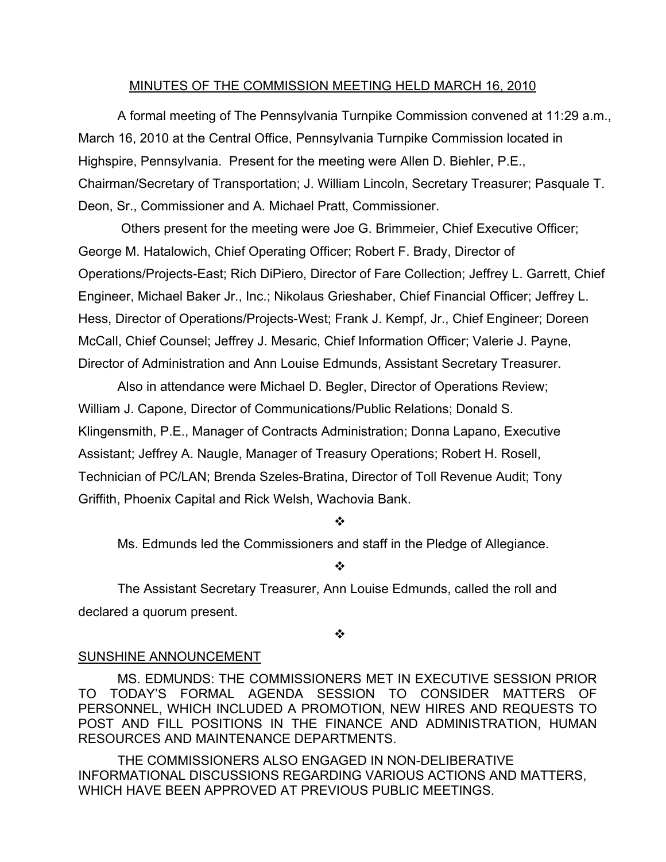## MINUTES OF THE COMMISSION MEETING HELD MARCH 16, 2010

A formal meeting of The Pennsylvania Turnpike Commission convened at 11:29 a.m., March 16, 2010 at the Central Office, Pennsylvania Turnpike Commission located in Highspire, Pennsylvania. Present for the meeting were Allen D. Biehler, P.E., Chairman/Secretary of Transportation; J. William Lincoln, Secretary Treasurer; Pasquale T. Deon, Sr., Commissioner and A. Michael Pratt, Commissioner.

Others present for the meeting were Joe G. Brimmeier, Chief Executive Officer; George M. Hatalowich, Chief Operating Officer; Robert F. Brady, Director of Operations/Projects-East; Rich DiPiero, Director of Fare Collection; Jeffrey L. Garrett, Chief Engineer, Michael Baker Jr., Inc.; Nikolaus Grieshaber, Chief Financial Officer; Jeffrey L. Hess, Director of Operations/Projects-West; Frank J. Kempf, Jr., Chief Engineer; Doreen McCall, Chief Counsel; Jeffrey J. Mesaric, Chief Information Officer; Valerie J. Payne, Director of Administration and Ann Louise Edmunds, Assistant Secretary Treasurer.

Also in attendance were Michael D. Begler, Director of Operations Review; William J. Capone, Director of Communications/Public Relations; Donald S. Klingensmith, P.E., Manager of Contracts Administration; Donna Lapano, Executive Assistant; Jeffrey A. Naugle, Manager of Treasury Operations; Robert H. Rosell, Technician of PC/LAN; Brenda Szeles-Bratina, Director of Toll Revenue Audit; Tony Griffith, Phoenix Capital and Rick Welsh, Wachovia Bank.

#### ❖

Ms. Edmunds led the Commissioners and staff in the Pledge of Allegiance.

## ❖

The Assistant Secretary Treasurer, Ann Louise Edmunds, called the roll and declared a quorum present.

## ❖

# SUNSHINE ANNOUNCEMENT

MS. EDMUNDS: THE COMMISSIONERS MET IN EXECUTIVE SESSION PRIOR TO TODAY'S FORMAL AGENDA SESSION TO CONSIDER MATTERS OF PERSONNEL, WHICH INCLUDED A PROMOTION, NEW HIRES AND REQUESTS TO POST AND FILL POSITIONS IN THE FINANCE AND ADMINISTRATION, HUMAN RESOURCES AND MAINTENANCE DEPARTMENTS.

THE COMMISSIONERS ALSO ENGAGED IN NON-DELIBERATIVE INFORMATIONAL DISCUSSIONS REGARDING VARIOUS ACTIONS AND MATTERS, WHICH HAVE BEEN APPROVED AT PREVIOUS PUBLIC MEETINGS.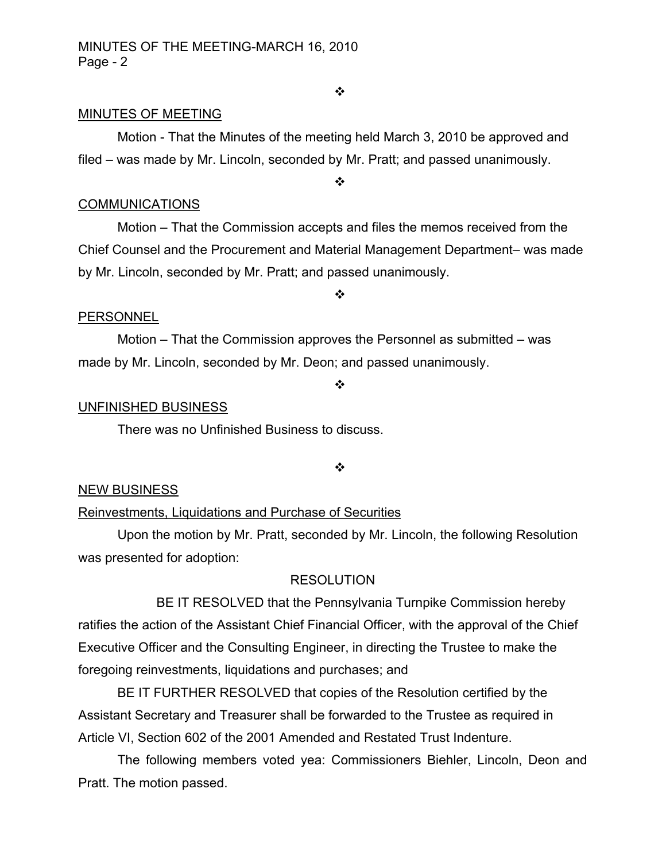#### ❖

## MINUTES OF MEETING

Motion - That the Minutes of the meeting held March 3, 2010 be approved and filed – was made by Mr. Lincoln, seconded by Mr. Pratt; and passed unanimously.

❖

## **COMMUNICATIONS**

Motion – That the Commission accepts and files the memos received from the Chief Counsel and the Procurement and Material Management Department– was made by Mr. Lincoln, seconded by Mr. Pratt; and passed unanimously.

 $\frac{1}{2}$ 

## **PERSONNEL**

Motion – That the Commission approves the Personnel as submitted – was made by Mr. Lincoln, seconded by Mr. Deon; and passed unanimously.

#### ❖

### UNFINISHED BUSINESS

There was no Unfinished Business to discuss.

❖

## NEW BUSINESS

## Reinvestments, Liquidations and Purchase of Securities

Upon the motion by Mr. Pratt, seconded by Mr. Lincoln, the following Resolution was presented for adoption:

## RESOLUTION

BE IT RESOLVED that the Pennsylvania Turnpike Commission hereby ratifies the action of the Assistant Chief Financial Officer, with the approval of the Chief Executive Officer and the Consulting Engineer, in directing the Trustee to make the foregoing reinvestments, liquidations and purchases; and

BE IT FURTHER RESOLVED that copies of the Resolution certified by the Assistant Secretary and Treasurer shall be forwarded to the Trustee as required in Article VI, Section 602 of the 2001 Amended and Restated Trust Indenture.

The following members voted yea: Commissioners Biehler, Lincoln, Deon and Pratt. The motion passed.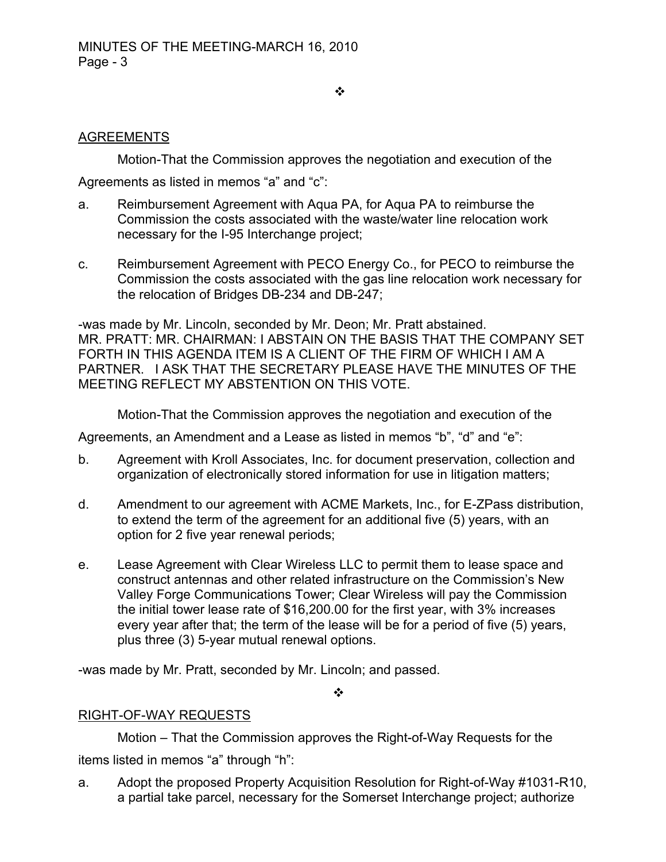#### ❖

# AGREEMENTS

Motion-That the Commission approves the negotiation and execution of the

Agreements as listed in memos "a" and "c":

- a. Reimbursement Agreement with Aqua PA, for Aqua PA to reimburse the Commission the costs associated with the waste/water line relocation work necessary for the I-95 Interchange project;
- c. Reimbursement Agreement with PECO Energy Co., for PECO to reimburse the Commission the costs associated with the gas line relocation work necessary for the relocation of Bridges DB-234 and DB-247;

-was made by Mr. Lincoln, seconded by Mr. Deon; Mr. Pratt abstained. MR. PRATT: MR. CHAIRMAN: I ABSTAIN ON THE BASIS THAT THE COMPANY SET FORTH IN THIS AGENDA ITEM IS A CLIENT OF THE FIRM OF WHICH I AM A PARTNER. I ASK THAT THE SECRETARY PLEASE HAVE THE MINUTES OF THE MEETING REFLECT MY ABSTENTION ON THIS VOTE.

Motion-That the Commission approves the negotiation and execution of the

Agreements, an Amendment and a Lease as listed in memos "b", "d" and "e":

- b. Agreement with Kroll Associates, Inc. for document preservation, collection and organization of electronically stored information for use in litigation matters;
- d. Amendment to our agreement with ACME Markets, Inc., for E-ZPass distribution, to extend the term of the agreement for an additional five (5) years, with an option for 2 five year renewal periods;
- e. Lease Agreement with Clear Wireless LLC to permit them to lease space and construct antennas and other related infrastructure on the Commission's New Valley Forge Communications Tower; Clear Wireless will pay the Commission the initial tower lease rate of \$16,200.00 for the first year, with 3% increases every year after that; the term of the lease will be for a period of five (5) years, plus three (3) 5-year mutual renewal options.

-was made by Mr. Pratt, seconded by Mr. Lincoln; and passed.

 $\cdot$ 

# RIGHT-OF-WAY REQUESTS

Motion – That the Commission approves the Right-of-Way Requests for the items listed in memos "a" through "h":

a. Adopt the proposed Property Acquisition Resolution for Right-of-Way #1031-R10, a partial take parcel, necessary for the Somerset Interchange project; authorize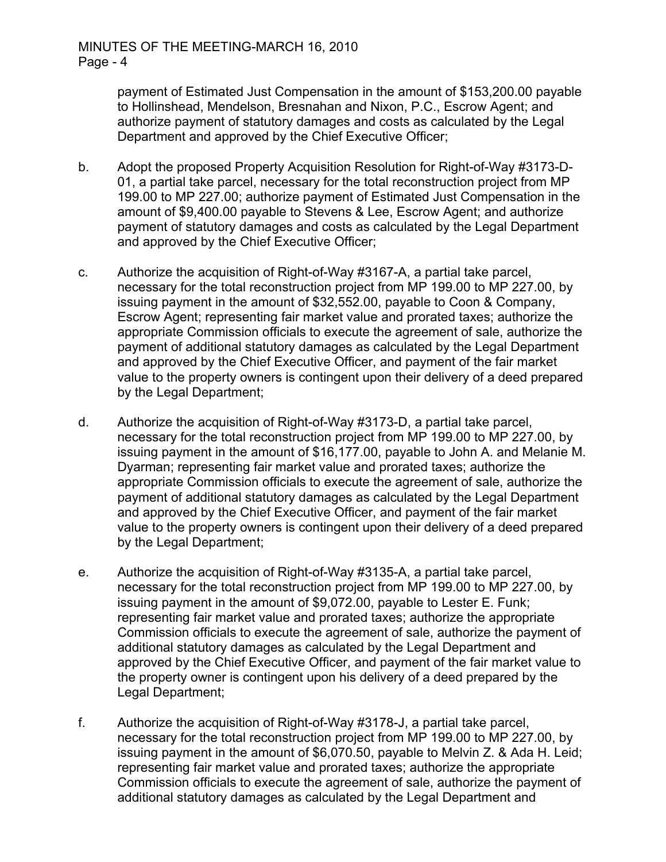payment of Estimated Just Compensation in the amount of \$153,200.00 payable to Hollinshead, Mendelson, Bresnahan and Nixon, P.C., Escrow Agent; and authorize payment of statutory damages and costs as calculated by the Legal Department and approved by the Chief Executive Officer;

- b. Adopt the proposed Property Acquisition Resolution for Right-of-Way #3173-D-01, a partial take parcel, necessary for the total reconstruction project from MP 199.00 to MP 227.00; authorize payment of Estimated Just Compensation in the amount of \$9,400.00 payable to Stevens & Lee, Escrow Agent; and authorize payment of statutory damages and costs as calculated by the Legal Department and approved by the Chief Executive Officer;
- c. Authorize the acquisition of Right-of-Way #3167-A, a partial take parcel, necessary for the total reconstruction project from MP 199.00 to MP 227.00, by issuing payment in the amount of \$32,552.00, payable to Coon & Company, Escrow Agent; representing fair market value and prorated taxes; authorize the appropriate Commission officials to execute the agreement of sale, authorize the payment of additional statutory damages as calculated by the Legal Department and approved by the Chief Executive Officer, and payment of the fair market value to the property owners is contingent upon their delivery of a deed prepared by the Legal Department;
- d. Authorize the acquisition of Right-of-Way #3173-D, a partial take parcel, necessary for the total reconstruction project from MP 199.00 to MP 227.00, by issuing payment in the amount of \$16,177.00, payable to John A. and Melanie M. Dyarman; representing fair market value and prorated taxes; authorize the appropriate Commission officials to execute the agreement of sale, authorize the payment of additional statutory damages as calculated by the Legal Department and approved by the Chief Executive Officer, and payment of the fair market value to the property owners is contingent upon their delivery of a deed prepared by the Legal Department;
- e. Authorize the acquisition of Right-of-Way #3135-A, a partial take parcel, necessary for the total reconstruction project from MP 199.00 to MP 227.00, by issuing payment in the amount of \$9,072.00, payable to Lester E. Funk; representing fair market value and prorated taxes; authorize the appropriate Commission officials to execute the agreement of sale, authorize the payment of additional statutory damages as calculated by the Legal Department and approved by the Chief Executive Officer, and payment of the fair market value to the property owner is contingent upon his delivery of a deed prepared by the Legal Department;
- f. Authorize the acquisition of Right-of-Way #3178-J, a partial take parcel, necessary for the total reconstruction project from MP 199.00 to MP 227.00, by issuing payment in the amount of \$6,070.50, payable to Melvin Z. & Ada H. Leid; representing fair market value and prorated taxes; authorize the appropriate Commission officials to execute the agreement of sale, authorize the payment of additional statutory damages as calculated by the Legal Department and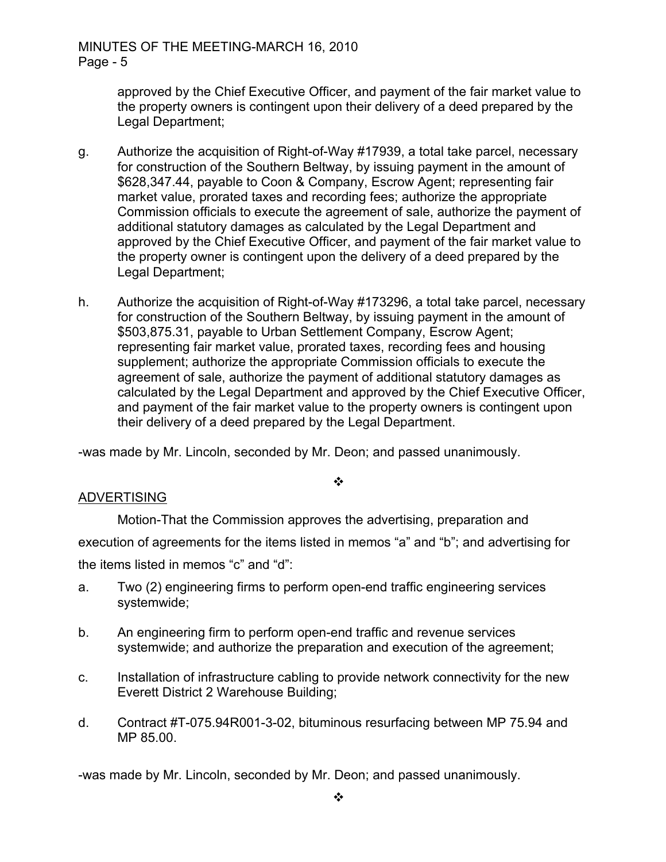approved by the Chief Executive Officer, and payment of the fair market value to the property owners is contingent upon their delivery of a deed prepared by the Legal Department;

- g. Authorize the acquisition of Right-of-Way #17939, a total take parcel, necessary for construction of the Southern Beltway, by issuing payment in the amount of \$628,347.44, payable to Coon & Company, Escrow Agent; representing fair market value, prorated taxes and recording fees; authorize the appropriate Commission officials to execute the agreement of sale, authorize the payment of additional statutory damages as calculated by the Legal Department and approved by the Chief Executive Officer, and payment of the fair market value to the property owner is contingent upon the delivery of a deed prepared by the Legal Department;
- h. Authorize the acquisition of Right-of-Way #173296, a total take parcel, necessary for construction of the Southern Beltway, by issuing payment in the amount of \$503,875.31, payable to Urban Settlement Company, Escrow Agent; representing fair market value, prorated taxes, recording fees and housing supplement; authorize the appropriate Commission officials to execute the agreement of sale, authorize the payment of additional statutory damages as calculated by the Legal Department and approved by the Chief Executive Officer, and payment of the fair market value to the property owners is contingent upon their delivery of a deed prepared by the Legal Department.

-was made by Mr. Lincoln, seconded by Mr. Deon; and passed unanimously.

# ADVERTISING

Motion-That the Commission approves the advertising, preparation and

 $\cdot$ 

execution of agreements for the items listed in memos "a" and "b"; and advertising for

the items listed in memos "c" and "d":

- a. Two (2) engineering firms to perform open-end traffic engineering services systemwide;
- b. An engineering firm to perform open-end traffic and revenue services systemwide; and authorize the preparation and execution of the agreement;
- c. Installation of infrastructure cabling to provide network connectivity for the new Everett District 2 Warehouse Building;
- d. Contract #T-075.94R001-3-02, bituminous resurfacing between MP 75.94 and MP 85.00.

-was made by Mr. Lincoln, seconded by Mr. Deon; and passed unanimously.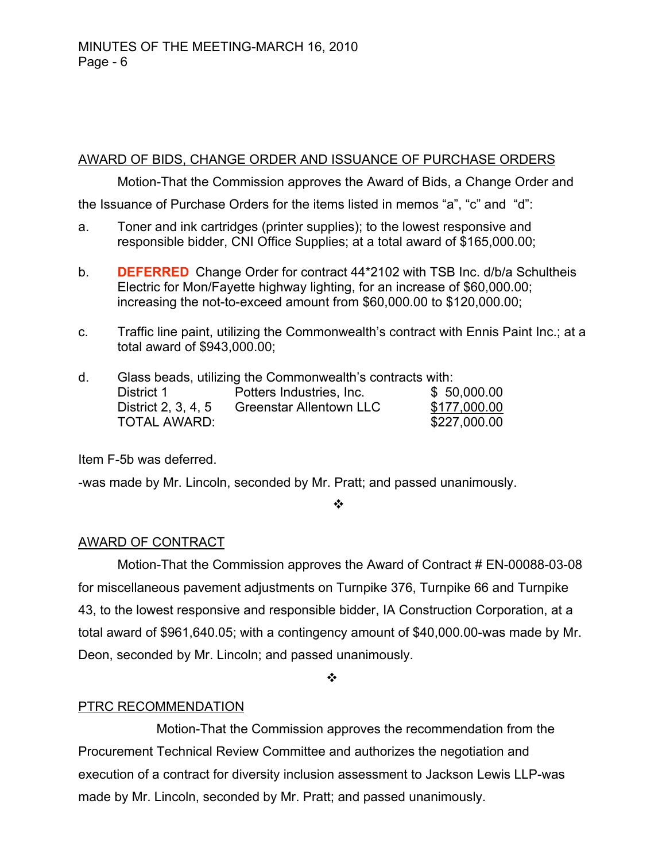# AWARD OF BIDS, CHANGE ORDER AND ISSUANCE OF PURCHASE ORDERS

Motion-That the Commission approves the Award of Bids, a Change Order and

the Issuance of Purchase Orders for the items listed in memos "a", "c" and "d":

- a. Toner and ink cartridges (printer supplies); to the lowest responsive and responsible bidder, CNI Office Supplies; at a total award of \$165,000.00;
- b. **DEFERRED** Change Order for contract 44\*2102 with TSB Inc. d/b/a Schultheis Electric for Mon/Fayette highway lighting, for an increase of \$60,000.00; increasing the not-to-exceed amount from \$60,000.00 to \$120,000.00;
- c. Traffic line paint, utilizing the Commonwealth's contract with Ennis Paint Inc.; at a total award of \$943,000.00;

| d. | Glass beads, utilizing the Commonwealth's contracts with: |                                |              |
|----|-----------------------------------------------------------|--------------------------------|--------------|
|    | District 1                                                | Potters Industries, Inc.       | \$50,000.00  |
|    | District 2, 3, 4, 5                                       | <b>Greenstar Allentown LLC</b> | \$177,000.00 |
|    | <b>TOTAL AWARD:</b>                                       |                                | \$227,000.00 |

Item F-5b was deferred.

-was made by Mr. Lincoln, seconded by Mr. Pratt; and passed unanimously.

❖

# AWARD OF CONTRACT

Motion-That the Commission approves the Award of Contract # EN-00088-03-08 for miscellaneous pavement adjustments on Turnpike 376, Turnpike 66 and Turnpike 43, to the lowest responsive and responsible bidder, IA Construction Corporation, at a total award of \$961,640.05; with a contingency amount of \$40,000.00-was made by Mr. Deon, seconded by Mr. Lincoln; and passed unanimously.

 $\cdot \cdot$ 

# PTRC RECOMMENDATION

Motion-That the Commission approves the recommendation from the Procurement Technical Review Committee and authorizes the negotiation and execution of a contract for diversity inclusion assessment to Jackson Lewis LLP-was made by Mr. Lincoln, seconded by Mr. Pratt; and passed unanimously.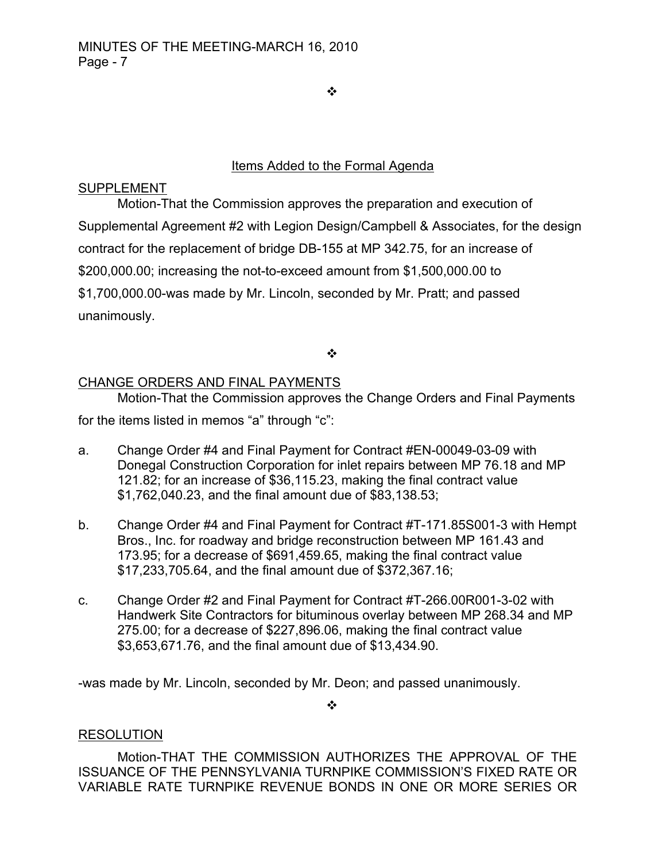$\frac{1}{2}$ 

# Items Added to the Formal Agenda

# SUPPLEMENT

Motion-That the Commission approves the preparation and execution of Supplemental Agreement #2 with Legion Design/Campbell & Associates, for the design contract for the replacement of bridge DB-155 at MP 342.75, for an increase of \$200,000.00; increasing the not-to-exceed amount from \$1,500,000.00 to \$1,700,000.00-was made by Mr. Lincoln, seconded by Mr. Pratt; and passed unanimously.

 $\cdot$ 

# CHANGE ORDERS AND FINAL PAYMENTS

Motion-That the Commission approves the Change Orders and Final Payments for the items listed in memos "a" through "c":

- a. Change Order #4 and Final Payment for Contract #EN-00049-03-09 with Donegal Construction Corporation for inlet repairs between MP 76.18 and MP 121.82; for an increase of \$36,115.23, making the final contract value \$1,762,040.23, and the final amount due of \$83,138.53;
- b. Change Order #4 and Final Payment for Contract #T-171.85S001-3 with Hempt Bros., Inc. for roadway and bridge reconstruction between MP 161.43 and 173.95; for a decrease of \$691,459.65, making the final contract value \$17,233,705.64, and the final amount due of \$372,367.16;
- c. Change Order #2 and Final Payment for Contract #T-266.00R001-3-02 with Handwerk Site Contractors for bituminous overlay between MP 268.34 and MP 275.00; for a decrease of \$227,896.06, making the final contract value \$3,653,671.76, and the final amount due of \$13,434.90.

-was made by Mr. Lincoln, seconded by Mr. Deon; and passed unanimously.

 $\cdot$ 

# RESOLUTION

Motion-THAT THE COMMISSION AUTHORIZES THE APPROVAL OF THE ISSUANCE OF THE PENNSYLVANIA TURNPIKE COMMISSION'S FIXED RATE OR VARIABLE RATE TURNPIKE REVENUE BONDS IN ONE OR MORE SERIES OR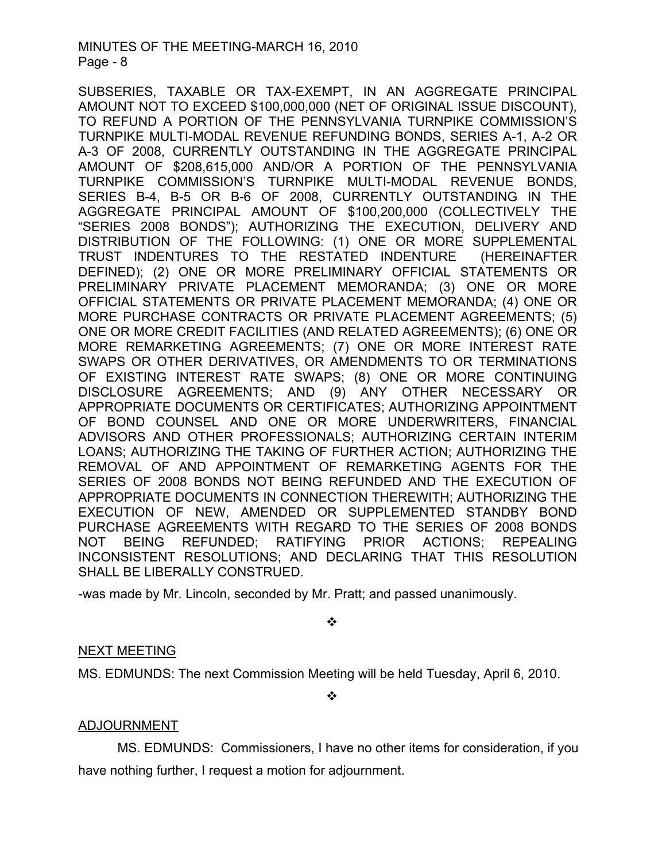## MINUTES OF THE MEETING-MARCH 16, 2010 Page - 8

SUBSERIES, TAXABLE OR TAX-EXEMPT, IN AN AGGREGATE PRINCIPAL AMOUNT NOT TO EXCEED \$100,000,000 (NET OF ORIGINAL ISSUE DISCOUNT), TO REFUND A PORTION OF THE PENNSYLVANIA TURNPIKE COMMISSION'S TURNPIKE MULTI-MODAL REVENUE REFUNDING BONDS, SERIES A-1, A-2 OR A-3 OF 2008, CURRENTLY OUTSTANDING IN THE AGGREGATE PRINCIPAL AMOUNT OF \$208,615,000 AND/OR A PORTION OF THE PENNSYLVANIA TURNPIKE COMMISSION'S TURNPIKE MULTI-MODAL REVENUE BONDS, SERIES B-4, B-5 OR B-6 OF 2008, CURRENTLY OUTSTANDING IN THE AGGREGATE PRINCIPAL AMOUNT OF \$100,200,000 (COLLECTIVELY THE "SERIES 2008 BONDS"); AUTHORIZING THE EXECUTION, DELIVERY AND DISTRIBUTION OF THE FOLLOWING: (1) ONE OR MORE SUPPLEMENTAL TRUST INDENTURES TO THE RESTATED INDENTURE (HEREINAFTER DEFINED); (2) ONE OR MORE PRELIMINARY OFFICIAL STATEMENTS OR PRELIMINARY PRIVATE PLACEMENT MEMORANDA; (3) ONE OR MORE OFFICIAL STATEMENTS OR PRIVATE PLACEMENT MEMORANDA; (4) ONE OR MORE PURCHASE CONTRACTS OR PRIVATE PLACEMENT AGREEMENTS; (5) ONE OR MORE CREDIT FACILITIES (AND RELATED AGREEMENTS); (6) ONE OR MORE REMARKETING AGREEMENTS; (7) ONE OR MORE INTEREST RATE SWAPS OR OTHER DERIVATIVES, OR AMENDMENTS TO OR TERMINATIONS OF EXISTING INTEREST RATE SWAPS; (8) ONE OR MORE CONTINUING DISCLOSURE AGREEMENTS; AND (9) ANY OTHER NECESSARY OR APPROPRIATE DOCUMENTS OR CERTIFICATES; AUTHORIZING APPOINTMENT OF BOND COUNSEL AND ONE OR MORE UNDERWRITERS, FINANCIAL ADVISORS AND OTHER PROFESSIONALS; AUTHORIZING CERTAIN INTERIM LOANS; AUTHORIZING THE TAKING OF FURTHER ACTION; AUTHORIZING THE REMOVAL OF AND APPOINTMENT OF REMARKETING AGENTS FOR THE SERIES OF 2008 BONDS NOT BEING REFUNDED AND THE EXECUTION OF APPROPRIATE DOCUMENTS IN CONNECTION THEREWITH; AUTHORIZING THE EXECUTION OF NEW, AMENDED OR SUPPLEMENTED STANDBY BOND PURCHASE AGREEMENTS WITH REGARD TO THE SERIES OF 2008 BONDS NOT BEING REFUNDED; RATIFYING PRIOR ACTIONS; REPEALING INCONSISTENT RESOLUTIONS; AND DECLARING THAT THIS RESOLUTION SHALL BE LIBERALLY CONSTRUED.

-was made by Mr. Lincoln, seconded by Mr. Pratt; and passed unanimously.

 $\cdot$ 

# NEXT MEETING

MS. EDMUNDS: The next Commission Meeting will be held Tuesday, April 6, 2010.

 $\frac{1}{2}$ 

# ADJOURNMENT

MS. EDMUNDS: Commissioners, I have no other items for consideration, if you have nothing further, I request a motion for adjournment.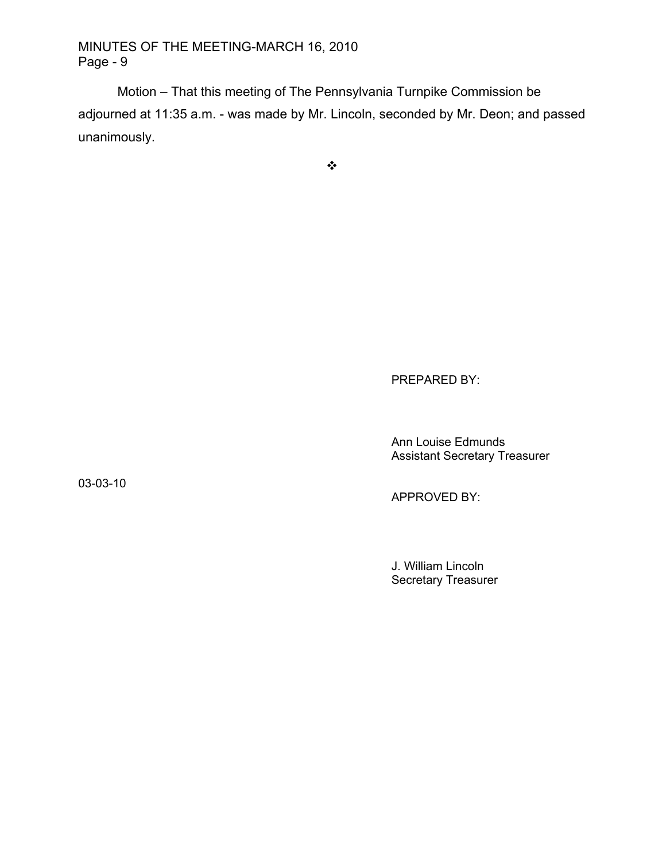MINUTES OF THE MEETING-MARCH 16, 2010 Page - 9

Motion – That this meeting of The Pennsylvania Turnpike Commission be adjourned at 11:35 a.m. - was made by Mr. Lincoln, seconded by Mr. Deon; and passed unanimously.

 $\bullet^{\bullet}_{\bullet} \bullet$ 

PREPARED BY:

Ann Louise Edmunds Assistant Secretary Treasurer

03-03-10

APPROVED BY:

J. William Lincoln Secretary Treasurer